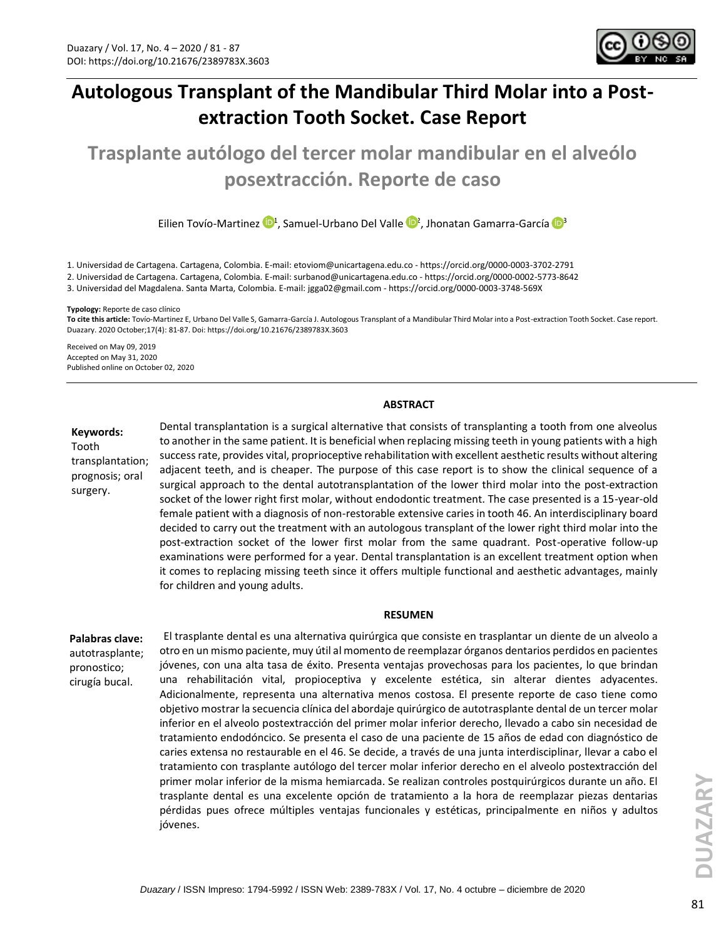

# **Autologous Transplant of the Mandibular Third Molar into a Postextraction Tooth Socket. Case Report**

**Trasplante autólogo del tercer molar mandibular en el alveólo posextracción. Reporte de caso**

EilienTovío-Martinez <sup>(D1</sup>, Samuel-Urbano Del Valle <sup>(D2</sup>, Jhonatan Gamarra-García O<sup>3</sup>

1. Universidad de Cartagena. Cartagena, Colombia. E-mail[: etoviom@unicartagena.edu.co](mailto:etoviom@unicartagena.edu.co) - <https://orcid.org/0000-0003-3702-2791>

2. Universidad de Cartagena. Cartagena, Colombia*.* E-mail[: surbanod@unicartagena.edu.co](mailto:surbanod@unicartagena.edu.co) - <https://orcid.org/0000-0002-5773-8642>

3. Universidad del Magdalena. Santa Marta, Colombia. E-mail: [jgga02@gmail.com](mailto:jgga02@gmail.com) - <https://orcid.org/0000-0003-3748-569X>

**Typology:** Reporte de caso clínico

**To cite this article:** Tovío-Martinez E, Urbano Del Valle S, Gamarra-García J. Autologous Transplant of a Mandibular Third Molar into a Post-extraction Tooth Socket. Case report. Duazary. 2020 October;17(4): 81-87. Doi: https://doi.org/10.21676/2389783X.3603

Received on May 09, 2019 Accepted on May 31, 2020 Published online on October 02, 2020

#### **ABSTRACT**

**Keywords:** 

Tooth transplantation; prognosis; oral surgery.

Dental transplantation is a surgical alternative that consists of transplanting a tooth from one alveolus to another in the same patient. It is beneficial when replacing missing teeth in young patients with a high success rate, provides vital, proprioceptive rehabilitation with excellent aesthetic results without altering adjacent teeth, and is cheaper. The purpose of this case report is to show the clinical sequence of a surgical approach to the dental autotransplantation of the lower third molar into the post-extraction socket of the lower right first molar, without endodontic treatment. The case presented is a 15-year-old female patient with a diagnosis of non-restorable extensive caries in tooth 46. An interdisciplinary board decided to carry out the treatment with an autologous transplant of the lower right third molar into the post-extraction socket of the lower first molar from the same quadrant. Post-operative follow-up examinations were performed for a year. Dental transplantation is an excellent treatment option when it comes to replacing missing teeth since it offers multiple functional and aesthetic advantages, mainly for children and young adults.

#### **RESUMEN**

**Palabras clave:**  autotrasplante; pronostico; cirugía bucal.

El trasplante dental es una alternativa quirúrgica que consiste en trasplantar un diente de un alveolo a otro en un mismo paciente, muy útil al momento de reemplazar órganos dentarios perdidos en pacientes jóvenes, con una alta tasa de éxito. Presenta ventajas provechosas para los pacientes, lo que brindan una rehabilitación vital, propioceptiva y excelente estética, sin alterar dientes adyacentes. Adicionalmente, representa una alternativa menos costosa. El presente reporte de caso tiene como objetivo mostrar la secuencia clínica del abordaje quirúrgico de autotrasplante dental de un tercer molar inferior en el alveolo postextracción del primer molar inferior derecho, llevado a cabo sin necesidad de tratamiento endodóncico. Se presenta el caso de una paciente de 15 años de edad con diagnóstico de caries extensa no restaurable en el 46. Se decide, a través de una junta interdisciplinar, llevar a cabo el tratamiento con trasplante autólogo del tercer molar inferior derecho en el alveolo postextracción del primer molar inferior de la misma hemiarcada. Se realizan controles postquirúrgicos durante un año. El trasplante dental es una excelente opción de tratamiento a la hora de reemplazar piezas dentarias pérdidas pues ofrece múltiples ventajas funcionales y estéticas, principalmente en niños y adultos jóvenes.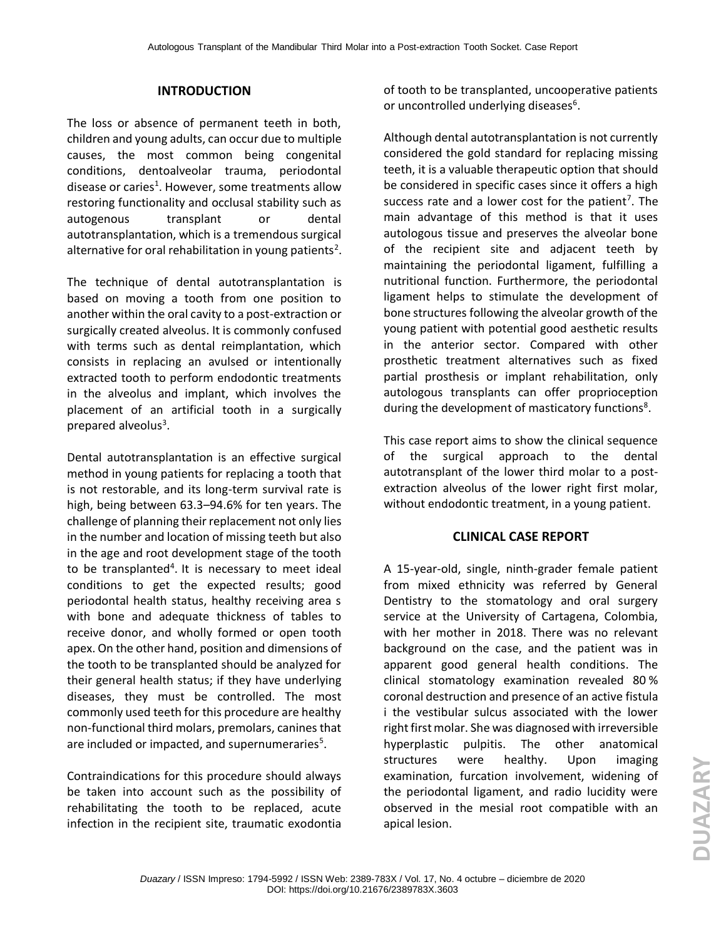#### **INTRODUCTION**

The loss or absence of permanent teeth in both, children and young adults, can occur due to multiple causes, the most common being congenital conditions, dentoalveolar trauma, periodontal disease or caries<sup>1</sup>. However, some treatments allow restoring functionality and occlusal stability such as autogenous transplant or dental autotransplantation, which is a tremendous surgical alternative for oral rehabilitation in young patients<sup>2</sup>.

The technique of dental autotransplantation is based on moving a tooth from one position to another within the oral cavity to a post-extraction or surgically created alveolus. It is commonly confused with terms such as dental reimplantation, which consists in replacing an avulsed or intentionally extracted tooth to perform endodontic treatments in the alveolus and implant, which involves the placement of an artificial tooth in a surgically prepared alveolus<sup>3</sup>.

Dental autotransplantation is an effective surgical method in young patients for replacing a tooth that is not restorable, and its long-term survival rate is high, being between 63.3–94.6% for ten years. The challenge of planning their replacement not only lies in the number and location of missing teeth but also in the age and root development stage of the tooth to be transplanted<sup>4</sup>. It is necessary to meet ideal conditions to get the expected results; good periodontal health status, healthy receiving area s with bone and adequate thickness of tables to receive donor, and wholly formed or open tooth apex. On the other hand, position and dimensions of the tooth to be transplanted should be analyzed for their general health status; if they have underlying diseases, they must be controlled. The most commonly used teeth for this procedure are healthy non-functional third molars, premolars, canines that are included or impacted, and supernumeraries $5$ .

Contraindications for this procedure should always be taken into account such as the possibility of rehabilitating the tooth to be replaced, acute infection in the recipient site, traumatic exodontia of tooth to be transplanted, uncooperative patients or uncontrolled underlying diseases<sup>6</sup>.

Although dental autotransplantation is not currently considered the gold standard for replacing missing teeth, it is a valuable therapeutic option that should be considered in specific cases since it offers a high success rate and a lower cost for the patient<sup>7</sup>. The main advantage of this method is that it uses autologous tissue and preserves the alveolar bone of the recipient site and adjacent teeth by maintaining the periodontal ligament, fulfilling a nutritional function. Furthermore, the periodontal ligament helps to stimulate the development of bone structures following the alveolar growth of the young patient with potential good aesthetic results in the anterior sector. Compared with other prosthetic treatment alternatives such as fixed partial prosthesis or implant rehabilitation, only autologous transplants can offer proprioception during the development of masticatory functions<sup>8</sup>.

This case report aims to show the clinical sequence of the surgical approach to the dental autotransplant of the lower third molar to a postextraction alveolus of the lower right first molar, without endodontic treatment, in a young patient.

#### **CLINICAL CASE REPORT**

A 15-year-old, single, ninth-grader female patient from mixed ethnicity was referred by General Dentistry to the stomatology and oral surgery service at the University of Cartagena, Colombia, with her mother in 2018. There was no relevant background on the case, and the patient was in apparent good general health conditions. The clinical stomatology examination revealed 80 % coronal destruction and presence of an active fistula i the vestibular sulcus associated with the lower right first molar. She was diagnosed with irreversible hyperplastic pulpitis. The other anatomical structures were healthy. Upon imaging examination, furcation involvement, widening of the periodontal ligament, and radio lucidity were observed in the mesial root compatible with an apical lesion.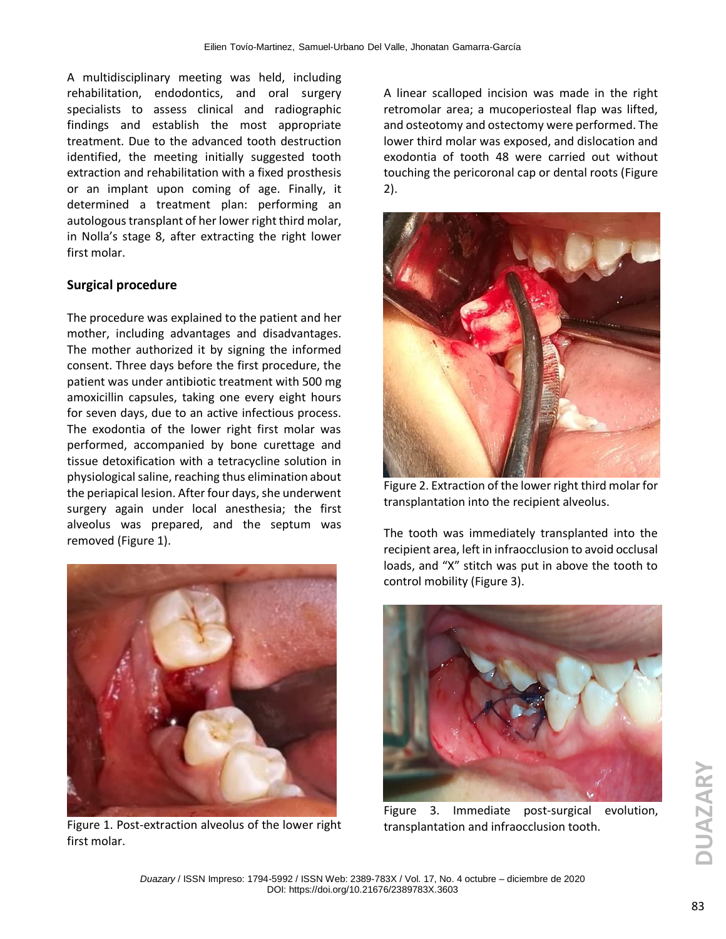A multidisciplinary meeting was held, including rehabilitation, endodontics, and oral surgery specialists to assess clinical and radiographic findings and establish the most appropriate treatment. Due to the advanced tooth destruction identified, the meeting initially suggested tooth extraction and rehabilitation with a fixed prosthesis or an implant upon coming of age. Finally, it determined a treatment plan: performing an autologous transplant of her lower right third molar, in Nolla's stage 8, after extracting the right lower first molar.

# **Surgical procedure**

The procedure was explained to the patient and her mother, including advantages and disadvantages. The mother authorized it by signing the informed consent. Three days before the first procedure, the patient was under antibiotic treatment with 500 mg amoxicillin capsules, taking one every eight hours for seven days, due to an active infectious process. The exodontia of the lower right first molar was performed, accompanied by bone curettage and tissue detoxification with a tetracycline solution in physiological saline, reaching thus elimination about the periapical lesion. After four days, she underwent surgery again under local anesthesia; the first alveolus was prepared, and the septum was removed (Figure 1).



Figure 1. Post-extraction alveolus of the lower right first molar.

A linear scalloped incision was made in the right retromolar area; a mucoperiosteal flap was lifted, and osteotomy and ostectomy were performed. The lower third molar was exposed, and dislocation and exodontia of tooth 48 were carried out without touching the pericoronal cap or dental roots (Figure 2).



Figure 2. Extraction of the lower right third molar for transplantation into the recipient alveolus.

The tooth was immediately transplanted into the recipient area, left in infraocclusion to avoid occlusal loads, and "X" stitch was put in above the tooth to control mobility (Figure 3).



Figure 3. Immediate post-surgical evolution, transplantation and infraocclusion tooth.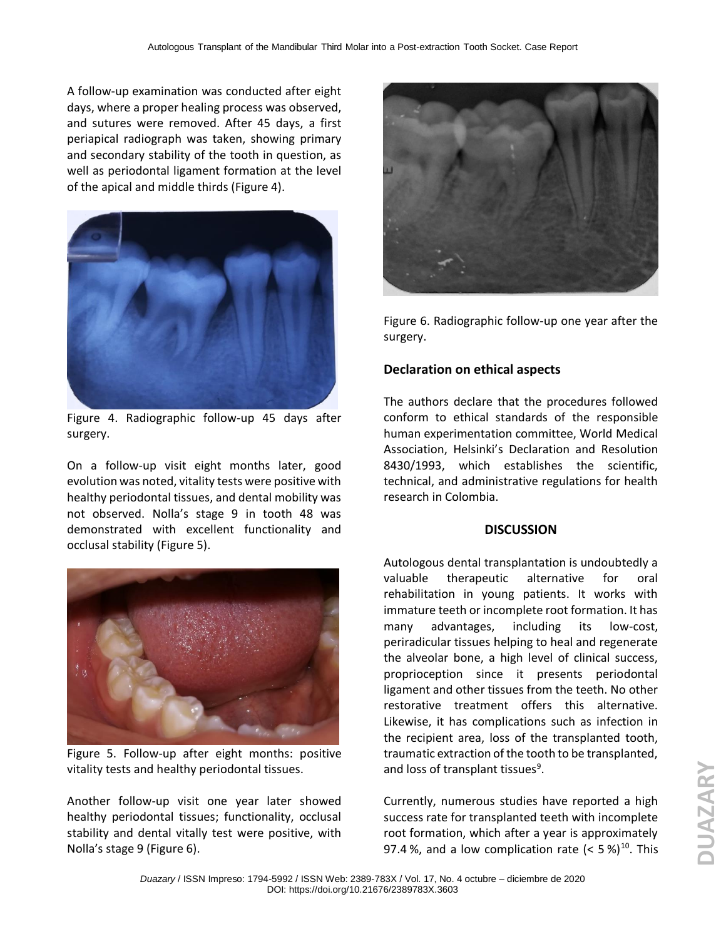A follow-up examination was conducted after eight days, where a proper healing process was observed, and sutures were removed. After 45 days, a first periapical radiograph was taken, showing primary and secondary stability of the tooth in question, as well as periodontal ligament formation at the level of the apical and middle thirds (Figure 4).



Figure 4. Radiographic follow-up 45 days after surgery.

On a follow-up visit eight months later, good evolution was noted, vitality tests were positive with healthy periodontal tissues, and dental mobility was not observed. Nolla's stage 9 in tooth 48 was demonstrated with excellent functionality and occlusal stability (Figure 5).



Figure 5. Follow-up after eight months: positive vitality tests and healthy periodontal tissues.

Another follow-up visit one year later showed healthy periodontal tissues; functionality, occlusal stability and dental vitally test were positive, with Nolla's stage 9 (Figure 6).



Figure 6. Radiographic follow-up one year after the surgery.

# **Declaration on ethical aspects**

The authors declare that the procedures followed conform to ethical standards of the responsible human experimentation committee, World Medical Association, Helsinki's Declaration and Resolution 8430/1993, which establishes the scientific, technical, and administrative regulations for health research in Colombia.

#### **DISCUSSION**

Autologous dental transplantation is undoubtedly a valuable therapeutic alternative for oral rehabilitation in young patients. It works with immature teeth or incomplete root formation. It has many advantages, including its low-cost, periradicular tissues helping to heal and regenerate the alveolar bone, a high level of clinical success, proprioception since it presents periodontal ligament and other tissues from the teeth. No other restorative treatment offers this alternative. Likewise, it has complications such as infection in the recipient area, loss of the transplanted tooth, traumatic extraction of the tooth to be transplanted, and loss of transplant tissues<sup>9</sup>.

Currently, numerous studies have reported a high success rate for transplanted teeth with incomplete root formation, which after a year is approximately 97.4 %, and a low complication rate  $(< 5\%)^{10}$ . This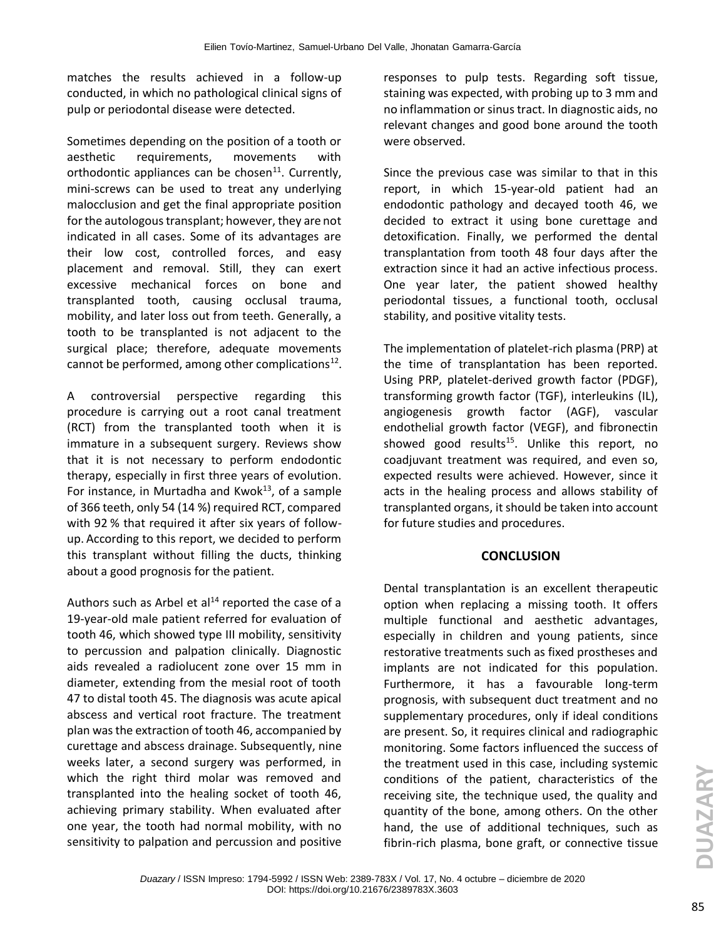matches the results achieved in a follow-up conducted, in which no pathological clinical signs of pulp or periodontal disease were detected.

Sometimes depending on the position of a tooth or aesthetic requirements, movements with orthodontic appliances can be chosen $^{11}$ . Currently, mini-screws can be used to treat any underlying malocclusion and get the final appropriate position for the autologous transplant; however, they are not indicated in all cases. Some of its advantages are their low cost, controlled forces, and easy placement and removal. Still, they can exert excessive mechanical forces on bone and transplanted tooth, causing occlusal trauma, mobility, and later loss out from teeth. Generally, a tooth to be transplanted is not adjacent to the surgical place; therefore, adequate movements cannot be performed, among other complications $^{12}$ .

A controversial perspective regarding this procedure is carrying out a root canal treatment (RCT) from the transplanted tooth when it is immature in a subsequent surgery. Reviews show that it is not necessary to perform endodontic therapy, especially in first three years of evolution. For instance, in Murtadha and Kwok $^{13}$ , of a sample of 366 teeth, only 54 (14 %) required RCT, compared with 92 % that required it after six years of followup. According to this report, we decided to perform this transplant without filling the ducts, thinking about a good prognosis for the patient.

Authors such as Arbel et  $al<sup>14</sup>$  reported the case of a 19-year-old male patient referred for evaluation of tooth 46, which showed type III mobility, sensitivity to percussion and palpation clinically. Diagnostic aids revealed a radiolucent zone over 15 mm in diameter, extending from the mesial root of tooth 47 to distal tooth 45. The diagnosis was acute apical abscess and vertical root fracture. The treatment plan was the extraction of tooth 46, accompanied by curettage and abscess drainage. Subsequently, nine weeks later, a second surgery was performed, in which the right third molar was removed and transplanted into the healing socket of tooth 46, achieving primary stability. When evaluated after one year, the tooth had normal mobility, with no sensitivity to palpation and percussion and positive

responses to pulp tests. Regarding soft tissue, staining was expected, with probing up to 3 mm and no inflammation or sinus tract. In diagnostic aids, no relevant changes and good bone around the tooth were observed.

Since the previous case was similar to that in this report, in which 15-year-old patient had an endodontic pathology and decayed tooth 46, we decided to extract it using bone curettage and detoxification. Finally, we performed the dental transplantation from tooth 48 four days after the extraction since it had an active infectious process. One year later, the patient showed healthy periodontal tissues, a functional tooth, occlusal stability, and positive vitality tests.

The implementation of platelet-rich plasma (PRP) at the time of transplantation has been reported. Using PRP, platelet-derived growth factor (PDGF), transforming growth factor (TGF), interleukins (IL), angiogenesis growth factor (AGF), vascular endothelial growth factor (VEGF), and fibronectin showed good results<sup>15</sup>. Unlike this report, no coadjuvant treatment was required, and even so, expected results were achieved. However, since it acts in the healing process and allows stability of transplanted organs, it should be taken into account for future studies and procedures.

#### **CONCLUSION**

Dental transplantation is an excellent therapeutic option when replacing a missing tooth. It offers multiple functional and aesthetic advantages, especially in children and young patients, since restorative treatments such as fixed prostheses and implants are not indicated for this population. Furthermore, it has a favourable long-term prognosis, with subsequent duct treatment and no supplementary procedures, only if ideal conditions are present. So, it requires clinical and radiographic monitoring. Some factors influenced the success of the treatment used in this case, including systemic conditions of the patient, characteristics of the receiving site, the technique used, the quality and quantity of the bone, among others. On the other hand, the use of additional techniques, such as fibrin-rich plasma, bone graft, or connective tissue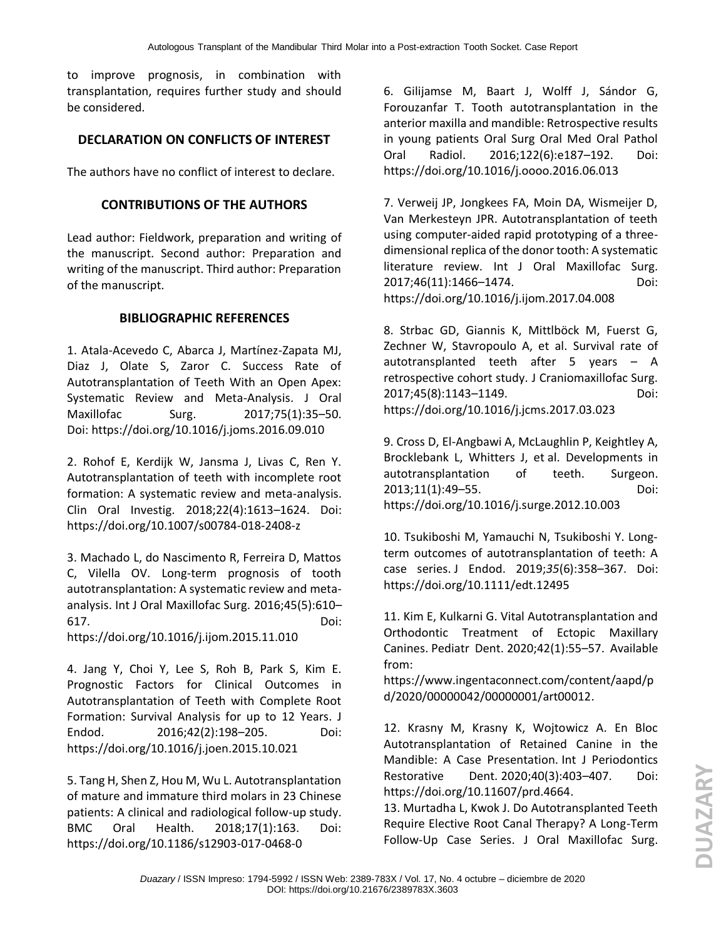to improve prognosis, in combination with transplantation, requires further study and should be considered.

# **DECLARATION ON CONFLICTS OF INTEREST**

The authors have no conflict of interest to declare.

### **CONTRIBUTIONS OF THE AUTHORS**

Lead author: Fieldwork, preparation and writing of the manuscript. Second author: Preparation and writing of the manuscript. Third author: Preparation of the manuscript.

# **BIBLIOGRAPHIC REFERENCES**

1. Atala-Acevedo C, Abarca J, Martínez-Zapata MJ, Diaz J, Olate S, Zaror C. Success Rate of Autotransplantation of Teeth With an Open Apex: Systematic Review and Meta-Analysis. [J Oral](https://www.ncbi.nlm.nih.gov/pubmed/?term=Success+Rate+of+Autotransplantation+of+Teeth+With+an+Open+Apex%3A+Systematic+Review+and+Meta-Analysis)  [Maxillofac Surg.](https://www.ncbi.nlm.nih.gov/pubmed/?term=Success+Rate+of+Autotransplantation+of+Teeth+With+an+Open+Apex%3A+Systematic+Review+and+Meta-Analysis) 2017;75(1):35–50. Doi: <https://doi.org/10.1016/j.joms.2016.09.010>

2. Rohof E, Kerdijk W, Jansma J, Livas C, Ren Y. Autotransplantation of teeth with incomplete root formation: A systematic review and meta-analysis. [Clin Oral Investig.](https://www.ncbi.nlm.nih.gov/pubmed/?term=Autotransplantation+of+teeth+with+incomplete+root+formation%3A+a+systematic+review+and+meta-analysis.) 2018;22(4):1613–1624. Doi: https://doi.org/10.1007/s00784-018-2408-z

3. Machado L, do Nascimento R, Ferreira D, Mattos C, Vilella OV. Long-term prognosis of tooth autotransplantation: A systematic review and metaanalysis. [Int J Oral Maxillofac Surg.](https://www.ncbi.nlm.nih.gov/pubmed/26696138) 2016;45(5):610– 617. Doi:

<https://doi.org/10.1016/j.ijom.2015.11.010>

4. Jang Y, Choi Y, Lee S, Roh B, Park S, Kim E. Prognostic Factors for Clinical Outcomes in Autotransplantation of Teeth with Complete Root Formation: Survival Analysis for up to 12 Years. [J](https://www.ncbi.nlm.nih.gov/pubmed/?term=Prognostic+Factors+for+Clinical+Outcomes+in+Autotransplantation+of+Teeth+with+Complete+Root+Formation%3A+Survival+Analysis+for+up+to+12+Years)  [Endod.](https://www.ncbi.nlm.nih.gov/pubmed/?term=Prognostic+Factors+for+Clinical+Outcomes+in+Autotransplantation+of+Teeth+with+Complete+Root+Formation%3A+Survival+Analysis+for+up+to+12+Years) 2016;42(2):198–205. Doi: <https://doi.org/10.1016/j.joen.2015.10.021>

5. Tang H, Shen Z, Hou M, Wu L. Autotransplantation of mature and immature third molars in 23 Chinese patients: A clinical and radiological follow-up study. BMC Oral Health. 2018;17(1):163. Doi: <https://doi.org/10.1186/s12903-017-0468-0>

6. Gilijamse M, Baart J, Wolff J, Sándor G, Forouzanfar T. Tooth autotransplantation in the anterior maxilla and mandible: Retrospective results in young patients [Oral Surg Oral Med Oral Pathol](https://www.ncbi.nlm.nih.gov/pubmed/?term=Tooth+autotransplantation+in+the+anterior+maxilla+and+mandible%3A+retrospective+results+in+young+patients.)  [Oral Radiol.](https://www.ncbi.nlm.nih.gov/pubmed/?term=Tooth+autotransplantation+in+the+anterior+maxilla+and+mandible%3A+retrospective+results+in+young+patients.) 2016;122(6):e187–192. Doi: <https://doi.org/10.1016/j.oooo.2016.06.013>

7. Verweij JP, Jongkees FA, Moin DA, Wismeijer D, Van Merkesteyn JPR. Autotransplantation of teeth using computer-aided rapid prototyping of a threedimensional replica of the donor tooth: A systematic literature review. Int J Oral Maxillofac Surg. 2017;46(11):1466–1474. Doi: <https://doi.org/10.1016/j.ijom.2017.04.008>

8. Strbac GD, Giannis K, Mittlböck M, Fuerst G, Zechner W, Stavropoulo A, et al. Survival rate of autotransplanted teeth after 5 years – A retrospective cohort study. [J Craniomaxillofac Surg.](https://www.ncbi.nlm.nih.gov/pubmed/?term=Survival+rate+of+autotransplanted+teeth+after+5+years+%E2%80%93+A+retrospective+cohort+study) 2017;45(8):1143–1149. Doi: <https://doi.org/10.1016/j.jcms.2017.03.023>

9. Cross D, El-Angbawi A, McLaughlin P, Keightley A, Brocklebank L, Whitters J, et al. Developments in autotransplantation of teeth. Surgeon. 2013;11(1):49–55. Doi: <https://doi.org/10.1016/j.surge.2012.10.003>

10. Tsukiboshi M, Yamauchi N, Tsukiboshi Y. Long‐ term outcomes of autotransplantation of teeth: A case series. [J Endod.](file:///C:/Users/UNIMAGDALENA/Downloads/J%20Endod) 2019;*35*(6):358–367. Doi: <https://doi.org/10.1111/edt.12495>

11. Kim E, Kulkarni G. Vital Autotransplantation and Orthodontic Treatment of Ectopic Maxillary Canines. [Pediatr Dent.](https://www.ncbi.nlm.nih.gov/pubmed/?term=Vital+Autotransplantation+and+Orthodontic+Treatment+of+Ectopic+Maxillary+Canines) 2020;42(1):55–57. Available from:

[https://www.ingentaconnect.com/content/aapd/p](https://www.ingentaconnect.com/content/aapd/pd/2020/00000042/00000001/art00012) [d/2020/00000042/00000001/art00012.](https://www.ingentaconnect.com/content/aapd/pd/2020/00000042/00000001/art00012)

12. Krasny M, Krasny K, Wojtowicz A. En Bloc Autotransplantation of Retained Canine in the Mandible: A Case Presentation. [Int J Periodontics](https://www.ncbi.nlm.nih.gov/pubmed/?term=en+bloc+autotransplantation+of+retained+canine+in+the+mandible%3A+a+case+presentation)  [Restorative Dent.](https://www.ncbi.nlm.nih.gov/pubmed/?term=en+bloc+autotransplantation+of+retained+canine+in+the+mandible%3A+a+case+presentation) 2020;40(3):403–407. Doi: [https://doi.org/10.11607/prd.4664.](https://doi.org/10.11607/prd.4664)

13. Murtadha L, Kwok J. Do Autotransplanted Teeth Require Elective Root Canal Therapy? A Long-Term Follow-Up Case Series. J [Oral Maxillofac Surg.](https://www.ncbi.nlm.nih.gov/pubmed/?term=Autotransplanted+Teeth+Require+Elective+Root+Canal+Therapy%3F+A+Long-Term+Follow-Up+Case+Series)